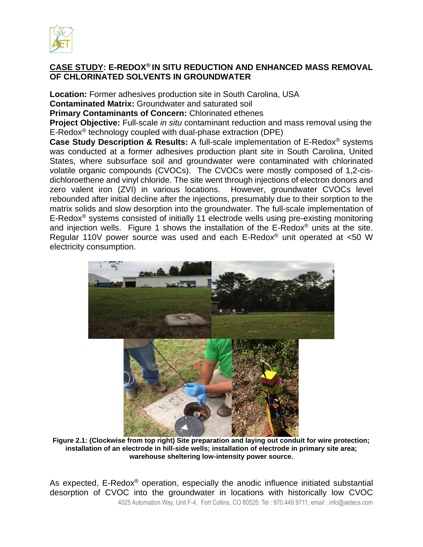

## **CASE STUDY: E-REDOX® IN SITU REDUCTION AND ENHANCED MASS REMOVAL OF CHLORINATED SOLVENTS IN GROUNDWATER**

**Location:** Former adhesives production site in South Carolina, USA **Contaminated Matrix:** Groundwater and saturated soil

**Primary Contaminants of Concern:** Chlorinated ethenes

**Project Objective:** Full-scale *in situ* contaminant reduction and mass removal using the E-Redox® technology coupled with dual-phase extraction (DPE)

**Case Study Description & Results:** A full-scale implementation of E-Redox® systems was conducted at a former adhesives production plant site in South Carolina, United States, where subsurface soil and groundwater were contaminated with chlorinated volatile organic compounds (CVOCs). The CVOCs were mostly composed of 1,2-cisdichloroethene and vinyl chloride. The site went through injections of electron donors and zero valent iron (ZVI) in various locations. However, groundwater CVOCs level rebounded after initial decline after the injections, presumably due to their sorption to the matrix solids and slow desorption into the groundwater. The full-scale implementation of E-Redox® systems consisted of initially 11 electrode wells using pre-existing monitoring and injection wells. Figure 1 shows the installation of the  $E$ -Redox<sup>®</sup> units at the site. Regular 110V power source was used and each E-Redox® unit operated at <50 W electricity consumption.



**Figure 2.1: (Clockwise from top right) Site preparation and laying out conduit for wire protection; installation of an electrode in hill-side wells; installation of electrode in primary site area; warehouse sheltering low-intensity power source.**

4025 Automation Way, Unit F-4, Fort Collins, CO 80525; Tel : 970.449.9711; email : info@aetecs.com As expected, E-Redox<sup>®</sup> operation, especially the anodic influence initiated substantial desorption of CVOC into the groundwater in locations with historically low CVOC